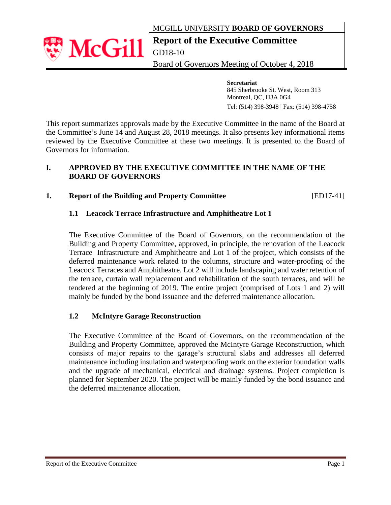MCGILL UNIVERSITY **BOARD OF GOVERNORS**

# **Report of the Executive Committee**

GD18-10

**McGill** 

Board of Governors Meeting of October 4, 2018

 **Secretariat**  845 Sherbrooke St. West, Room 313 Montreal, QC, H3A 0G4 Tel: (514) 398-3948 | Fax: (514) 398-4758

This report summarizes approvals made by the Executive Committee in the name of the Board at the Committee's June 14 and August 28, 2018 meetings. It also presents key informational items reviewed by the Executive Committee at these two meetings. It is presented to the Board of Governors for information.

#### **I. APPROVED BY THE EXECUTIVE COMMITTEE IN THE NAME OF THE BOARD OF GOVERNORS**

# **1. Report of the Building and Property Committee** [ED17-41]

### **1.1 Leacock Terrace Infrastructure and Amphitheatre Lot 1**

The Executive Committee of the Board of Governors, on the recommendation of the Building and Property Committee, approved, in principle, the renovation of the Leacock Terrace Infrastructure and Amphitheatre and Lot 1 of the project, which consists of the deferred maintenance work related to the columns, structure and water-proofing of the Leacock Terraces and Amphitheatre. Lot 2 will include landscaping and water retention of the terrace, curtain wall replacement and rehabilitation of the south terraces, and will be tendered at the beginning of 2019. The entire project (comprised of Lots 1 and 2) will mainly be funded by the bond issuance and the deferred maintenance allocation.

### **1.2 McIntyre Garage Reconstruction**

The Executive Committee of the Board of Governors, on the recommendation of the Building and Property Committee, approved the McIntyre Garage Reconstruction, which consists of major repairs to the garage's structural slabs and addresses all deferred maintenance including insulation and waterproofing work on the exterior foundation walls and the upgrade of mechanical, electrical and drainage systems. Project completion is planned for September 2020. The project will be mainly funded by the bond issuance and the deferred maintenance allocation.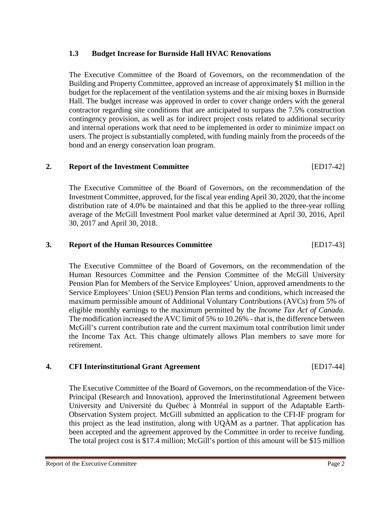#### **1.3 Budget Increase for Burnside Hall HVAC Renovations**

The Executive Committee of the Board of Governors, on the recommendation of the Building and Property Committee, approved an increase of approximately \$1 million in the budget for the replacement of the ventilation systems and the air mixing boxes in Burnside Hall. The budget increase was approved in order to cover change orders with the general contractor regarding site conditions that are anticipated to surpass the 7.5% construction contingency provision, as well as for indirect project costs related to additional security and internal operations work that need to be implemented in order to minimize impact on users. The project is substantially completed, with funding mainly from the proceeds of the bond and an energy conservation loan program.

# **2. Report of the Investment Committee** [ED17-42]

The Executive Committee of the Board of Governors, on the recommendation of the Investment Committee, approved, for the fiscal year ending April 30, 2020, that the income distribution rate of 4.0% be maintained and that this be applied to the three-year rolling average of the McGill Investment Pool market value determined at April 30, 2016, April 30, 2017 and April 30, 2018.

### **3. Report of the Human Resources Committee** [ED17-43]

The Executive Committee of the Board of Governors, on the recommendation of the Human Resources Committee and the Pension Committee of the McGill University Pension Plan for Members of the Service Employees' Union, approved amendments to the Service Employees' Union (SEU) Pension Plan terms and conditions, which increased the maximum permissible amount of Additional Voluntary Contributions (AVCs) from 5% of eligible monthly earnings to the maximum permitted by the *Income Tax Act of Canada*. The modification increased the AVC limit of 5% to 10.26% - that is, the difference between McGill's current contribution rate and the current maximum total contribution limit under the Income Tax Act. This change ultimately allows Plan members to save more for retirement.

#### **4. CFI Interinstitutional Grant Agreement** [ED17-44]

The Executive Committee of the Board of Governors, on the recommendation of the Vice-Principal (Research and Innovation), approved the Interinstitutional Agreement between University and Université du Québec à Montréal in support of the Adaptable Earth-Observation System project. McGill submitted an application to the CFI-IF program for this project as the lead institution, along with UQÀM as a partner. That application has been accepted and the agreement approved by the Committee in order to receive funding. The total project cost is \$17.4 million; McGill's portion of this amount will be \$15 million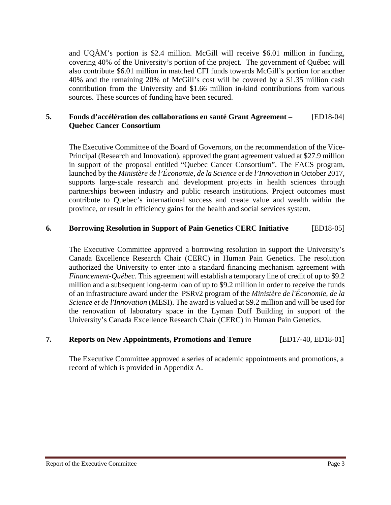and UQÀM's portion is \$2.4 million. McGill will receive \$6.01 million in funding, covering 40% of the University's portion of the project. The government of Québec will also contribute \$6.01 million in matched CFI funds towards McGill's portion for another 40% and the remaining 20% of McGill's cost will be covered by a \$1.35 million cash contribution from the University and \$1.66 million in-kind contributions from various sources. These sources of funding have been secured.

#### **5. Fonds d'accélération des collaborations en santé Grant Agreement –** [ED18-04] **Quebec Cancer Consortium**

The Executive Committee of the Board of Governors, on the recommendation of the Vice-Principal (Research and Innovation), approved the grant agreement valued at \$27.9 million in support of the proposal entitled "Quebec Cancer Consortium". The FACS program, launched by the *Ministère de l'Économie, de la Science et de l'Innovation* in October 2017, supports large-scale research and development projects in health sciences through partnerships between industry and public research institutions. Project outcomes must contribute to Quebec's international success and create value and wealth within the province, or result in efficiency gains for the health and social services system.

#### **6. Borrowing Resolution in Support of Pain Genetics CERC Initiative** [ED18-05]

The Executive Committee approved a borrowing resolution in support the University's Canada Excellence Research Chair (CERC) in Human Pain Genetics. The resolution authorized the University to enter into a standard financing mechanism agreement with *Financement-Québec.* This agreement will establish a temporary line of credit of up to \$9.2 million and a subsequent long-term loan of up to \$9.2 million in order to receive the funds of an infrastructure award under the PSRv2 program of the *Ministère de l'Économie, de la Science et de l'Innovation* (MESI). The award is valued at \$9.2 million and will be used for the renovation of laboratory space in the Lyman Duff Building in support of the University's Canada Excellence Research Chair (CERC) in Human Pain Genetics.

### **7. Reports on New Appointments, Promotions and Tenure** [ED17-40, ED18-01]

The Executive Committee approved a series of academic appointments and promotions, a record of which is provided in Appendix A.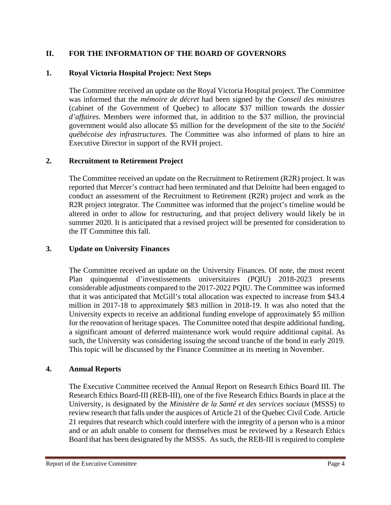# **II. FOR THE INFORMATION OF THE BOARD OF GOVERNORS**

# **1. Royal Victoria Hospital Project: Next Steps**

The Committee received an update on the Royal Victoria Hospital project. The Committee was informed that the *mémoire de décret* had been signed by the *Conseil des ministres*  (cabinet of the Government of Quebec) to allocate \$37 million towards the *dossier d'affaires.* Members were informed that, in addition to the \$37 million, the provincial government would also allocate \$5 million for the development of the site to the *Société québécoise des infrastructures.* The Committee was also informed of plans to hire an Executive Director in support of the RVH project.

### **2. Recruitment to Retirement Project**

The Committee received an update on the Recruitment to Retirement (R2R) project. It was reported that Mercer's contract had been terminated and that Deloitte had been engaged to conduct an assessment of the Recruitment to Retirement (R2R) project and work as the R2R project integrator. The Committee was informed that the project's timeline would be altered in order to allow for restructuring, and that project delivery would likely be in summer 2020. It is anticipated that a revised project will be presented for consideration to the IT Committee this fall.

# **3. Update on University Finances**

The Committee received an update on the University Finances. Of note, the most recent Plan quinquennal d'investissements universitaires (PQIU) 2018-2023 presents considerable adjustments compared to the 2017-2022 PQIU. The Committee was informed that it was anticipated that McGill's total allocation was expected to increase from \$43.4 million in 2017-18 to approximately \$83 million in 2018-19. It was also noted that the University expects to receive an additional funding envelope of approximately \$5 million for the renovation of heritage spaces. The Committee noted that despite additional funding, a significant amount of deferred maintenance work would require additional capital. As such, the University was considering issuing the second tranche of the bond in early 2019. This topic will be discussed by the Finance Committee at its meeting in November.

### **4. Annual Reports**

The Executive Committee received the Annual Report on Research Ethics Board III. The Research Ethics Board-III (REB-III), one of the five Research Ethics Boards in place at the University, is designated by the *Ministère de la Santé et des services sociaux* (MSSS) to review research that falls under the auspices of Article 21 of the Quebec Civil Code. Article 21 requires that research which could interfere with the integrity of a person who is a minor and or an adult unable to consent for themselves must be reviewed by a Research Ethics Board that has been designated by the MSSS. As such, the REB-III is required to complete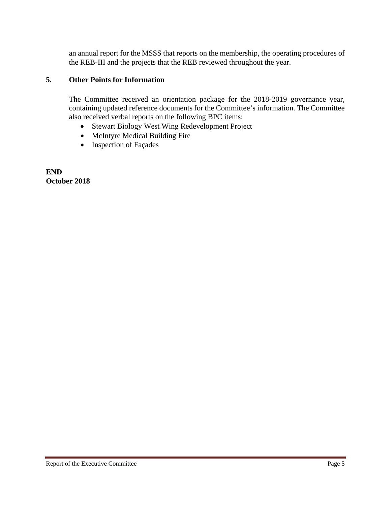an annual report for the MSSS that reports on the membership, the operating procedures of the REB-III and the projects that the REB reviewed throughout the year.

#### **5. Other Points for Information**

The Committee received an orientation package for the 2018-2019 governance year, containing updated reference documents for the Committee's information. The Committee also received verbal reports on the following BPC items:

- Stewart Biology West Wing Redevelopment Project
- McIntyre Medical Building Fire
- Inspection of Façades

**END October 2018**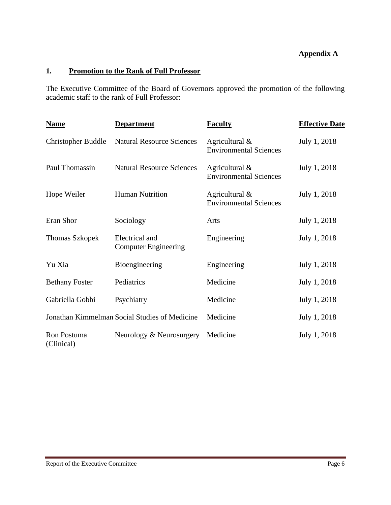# **Appendix A**

# **1. Promotion to the Rank of Full Professor**

The Executive Committee of the Board of Governors approved the promotion of the following academic staff to the rank of Full Professor:

| <b>Name</b>                           | <b>Department</b>                             | <b>Faculty</b>                                  | <b>Effective Date</b> |
|---------------------------------------|-----------------------------------------------|-------------------------------------------------|-----------------------|
| <b>Christopher Buddle</b>             | <b>Natural Resource Sciences</b>              | Agricultural &<br><b>Environmental Sciences</b> | July 1, 2018          |
| Paul Thomassin                        | <b>Natural Resource Sciences</b>              | Agricultural &<br><b>Environmental Sciences</b> | July 1, 2018          |
| <b>Human Nutrition</b><br>Hope Weiler |                                               | Agricultural &<br><b>Environmental Sciences</b> | July 1, 2018          |
| Eran Shor                             | Sociology                                     | Arts                                            | July 1, 2018          |
| <b>Thomas Szkopek</b>                 | Electrical and<br><b>Computer Engineering</b> | Engineering                                     | July 1, 2018          |
| Yu Xia                                | Bioengineering                                | Engineering                                     | July 1, 2018          |
| <b>Bethany Foster</b>                 | Pediatrics                                    | Medicine                                        | July 1, 2018          |
| Gabriella Gobbi                       | Psychiatry                                    | Medicine                                        | July 1, 2018          |
|                                       | Jonathan Kimmelman Social Studies of Medicine | Medicine                                        | July 1, 2018          |
| Ron Postuma<br>(Clinical)             | Neurology & Neurosurgery                      | Medicine                                        | July 1, 2018          |